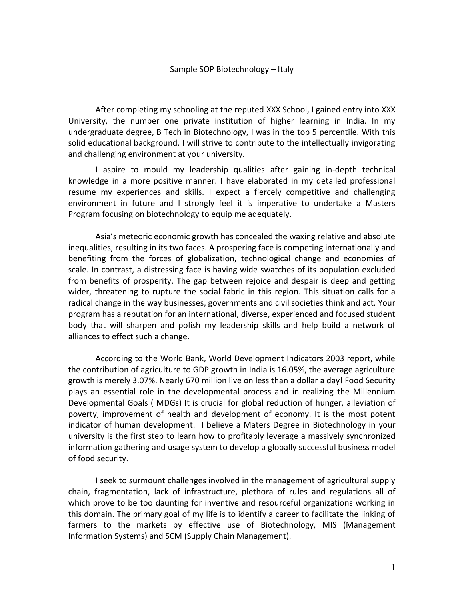After completing my schooling at the reputed XXX School, I gained entry into XXX University, the number one private institution of higher learning in India. In my undergraduate degree, B Tech in Biotechnology, I was in the top 5 percentile. With this solid educational background, I will strive to contribute to the intellectually invigorating and challenging environment at your university.

I aspire to mould my leadership qualities after gaining in-depth technical knowledge in a more positive manner. I have elaborated in my detailed professional resume my experiences and skills. I expect a fiercely competitive and challenging environment in future and I strongly feel it is imperative to undertake a Masters Program focusing on biotechnology to equip me adequately.

Asia's meteoric economic growth has concealed the waxing relative and absolute inequalities, resulting in its two faces. A prospering face is competing internationally and benefiting from the forces of globalization, technological change and economies of scale. In contrast, a distressing face is having wide swatches of its population excluded from benefits of prosperity. The gap between rejoice and despair is deep and getting wider, threatening to rupture the social fabric in this region. This situation calls for a radical change in the way businesses, governments and civil societies think and act. Your program has a reputation for an international, diverse, experienced and focused student body that will sharpen and polish my leadership skills and help build a network of alliances to effect such a change.

According to the World Bank, World Development Indicators 2003 report, while the contribution of agriculture to GDP growth in India is 16.05%, the average agriculture growth is merely 3.07%. Nearly 670 million live on less than a dollar a day! Food Security plays an essential role in the developmental process and in realizing the Millennium Developmental Goals ( MDGs) It is crucial for global reduction of hunger, alleviation of poverty, improvement of health and development of economy. It is the most potent indicator of human development. I believe a Maters Degree in Biotechnology in your university is the first step to learn how to profitably leverage a massively synchronized information gathering and usage system to develop a globally successful business model of food security.

I seek to surmount challenges involved in the management of agricultural supply chain, fragmentation, lack of infrastructure, plethora of rules and regulations all of which prove to be too daunting for inventive and resourceful organizations working in this domain. The primary goal of my life is to identify a career to facilitate the linking of farmers to the markets by effective use of Biotechnology, MIS (Management Information Systems) and SCM (Supply Chain Management).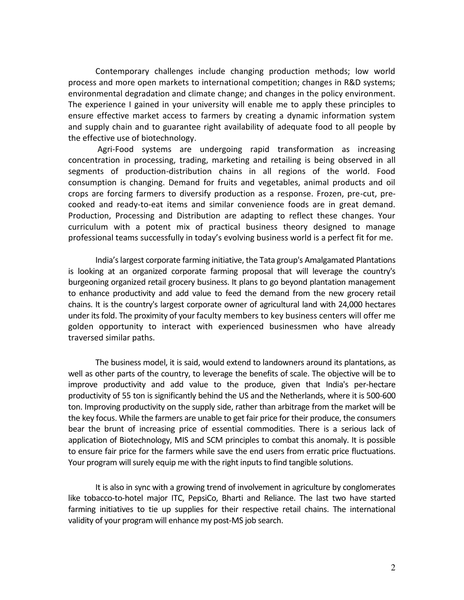Contemporary challenges include changing production methods; low world process and more open markets to international competition; changes in R&D systems; environmental degradation and climate change; and changes in the policy environment. The experience I gained in your university will enable me to apply these principles to ensure effective market access to farmers by creating a dynamic information system and supply chain and to guarantee right availability of adequate food to all people by the effective use of biotechnology.

 Agri-Food systems are undergoing rapid transformation as increasing concentration in processing, trading, marketing and retailing is being observed in all segments of production-distribution chains in all regions of the world. Food consumption is changing. Demand for fruits and vegetables, animal products and oil crops are forcing farmers to diversify production as a response. Frozen, pre-cut, precooked and ready-to-eat items and similar convenience foods are in great demand. Production, Processing and Distribution are adapting to reflect these changes. Your curriculum with a potent mix of practical business theory designed to manage professional teams successfully in today's evolving business world is a perfect fit for me.

India's largest corporate farming initiative, the Tata group's Amalgamated Plantations is looking at an organized corporate farming proposal that will leverage the country's burgeoning organized retail grocery business. It plans to go beyond plantation management to enhance productivity and add value to feed the demand from the new grocery retail chains. It is the country's largest corporate owner of agricultural land with 24,000 hectares under its fold. The proximity of your faculty members to key business centers will offer me golden opportunity to interact with experienced businessmen who have already traversed similar paths.

The business model, it is said, would extend to landowners around its plantations, as well as other parts of the country, to leverage the benefits of scale. The objective will be to improve productivity and add value to the produce, given that India's per-hectare productivity of 55 ton is significantly behind the US and the Netherlands, where it is 500-600 ton. Improving productivity on the supply side, rather than arbitrage from the market will be the key focus. While the farmers are unable to get fair price for their produce, the consumers bear the brunt of increasing price of essential commodities. There is a serious lack of application of Biotechnology, MIS and SCM principles to combat this anomaly. It is possible to ensure fair price for the farmers while save the end users from erratic price fluctuations. Your program will surely equip me with the right inputs to find tangible solutions.

It is also in sync with a growing trend of involvement in agriculture by conglomerates like tobacco-to-hotel major ITC, PepsiCo, Bharti and Reliance. The last two have started farming initiatives to tie up supplies for their respective retail chains. The international validity of your program will enhance my post-MS job search.